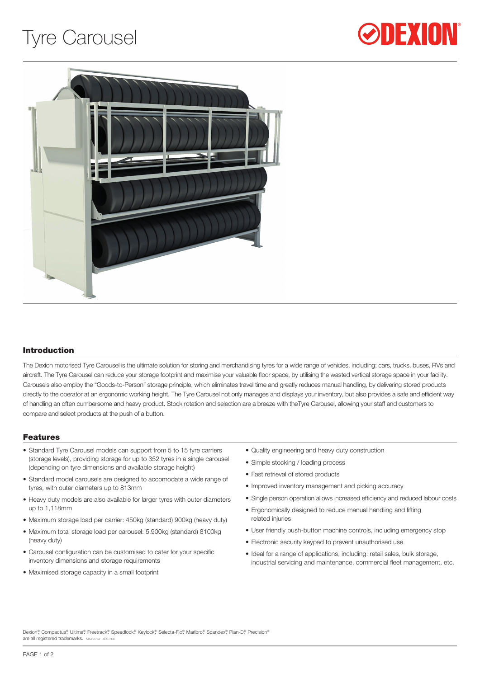# Tyre Carousel





# Introduction

The Dexion motorised Tyre Carousel is the ultimate solution for storing and merchandising tyres for a wide range of vehicles, including; cars, trucks, buses, RVs and aircraft. The Tyre Carousel can reduce your storage footprint and maximise your valuable floor space, by utilising the wasted vertical storage space in your facility. Carousels also employ the "Goods-to-Person" storage principle, which eliminates travel time and greatly reduces manual handling, by delivering stored products directly to the operator at an ergonomic working height. The Tyre Carousel not only manages and displays your inventory, but also provides a safe and efficient way of handling an often cumbersome and heavy product. Stock rotation and selection are a breeze with theTyre Carousel, allowing your staff and customers to compare and select products at the push of a button.

#### Features

- Standard Tyre Carousel models can support from 5 to 15 tyre carriers (storage levels), providing storage for up to 352 tyres in a single carousel (depending on tyre dimensions and available storage height)
- Standard model carousels are designed to accomodate a wide range of tyres, with outer diameters up to 813mm
- Heavy duty models are also available for larger tyres with outer diameters up to 1,118mm
- Maximum storage load per carrier: 450kg (standard) 900kg (heavy duty)
- Maximum total storage load per carousel: 5,900kg (standard) 8100kg (heavy duty)
- Carousel configuration can be customised to cater for your specific inventory dimensions and storage requirements
- Maximised storage capacity in a small footprint
- Quality engineering and heavy duty construction
- Simple stocking / loading process
- Fast retrieval of stored products
- Improved inventory management and picking accuracy
- Single person operation allows increased efficiency and reduced labour costs
- Ergonomically designed to reduce manual handling and lifting related injuries
- User friendly push-button machine controls, including emergency stop
- Electronic security keypad to prevent unauthorised use
- Ideal for a range of applications, including: retail sales, bulk storage, industrial servicing and maintenance, commercial fleet management, etc.

Dexion® Compactus®, Ultima®, Freetrack®, Speedlock®, Keylock®, Selecta-Flo®, Marlbro®, Spandex®, Plan-D®, Precision® are all registered trademarks. MAY2014 DEX076